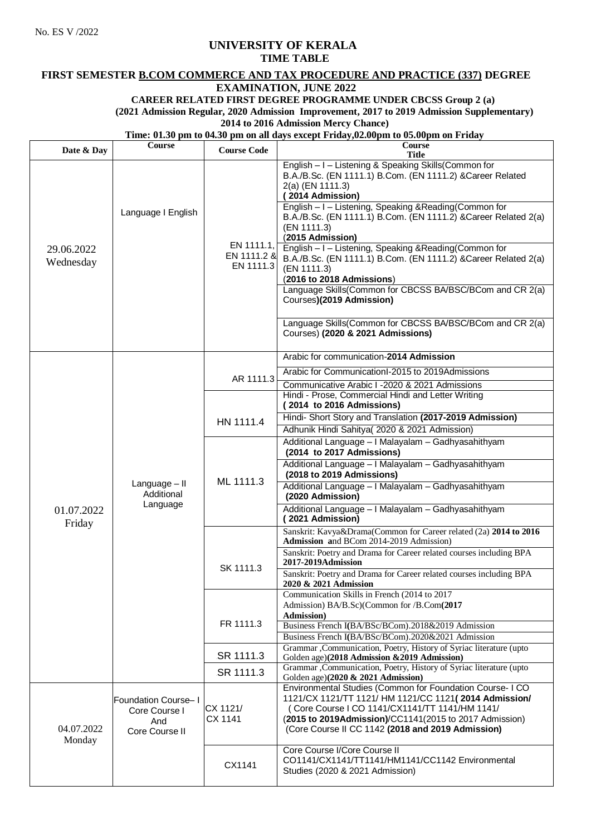No. ES V /2022

### **UNIVERSITY OF KERALA**

### **TIME TABLE**

## **FIRST SEMESTER B.COM COMMERCE AND TAX PROCEDURE AND PRACTICE (337) DEGREE**

# **EXAMINATION, JUNE 2022**

## **CAREER RELATED FIRST DEGREE PROGRAMME UNDER CBCSS Group 2 (a)**

**(2021 Admission Regular, 2020 Admission Improvement, 2017 to 2019 Admission Supplementary)**

### **2014 to 2016 Admission Mercy Chance)**

### **Time: 01.30 pm to 04.30 pm on all days except Friday,02.00pm to 05.00pm on Friday**

| Date & Day              | <b>Course</b>                                                 | <b>Course Code</b>                     | Course<br>Title                                                                                                                                                                                                                                                                                                                                                                                                                                                                                                                                                                                                                                                                               |
|-------------------------|---------------------------------------------------------------|----------------------------------------|-----------------------------------------------------------------------------------------------------------------------------------------------------------------------------------------------------------------------------------------------------------------------------------------------------------------------------------------------------------------------------------------------------------------------------------------------------------------------------------------------------------------------------------------------------------------------------------------------------------------------------------------------------------------------------------------------|
| 29.06.2022<br>Wednesday | Language I English                                            | EN 1111.1,<br>EN 1111.2 &<br>EN 1111.3 | English - I - Listening & Speaking Skills(Common for<br>B.A./B.Sc. (EN 1111.1) B.Com. (EN 1111.2) & Career Related<br>2(a) (EN 1111.3)<br>(2014 Admission)<br>English - I - Listening, Speaking & Reading (Common for<br>B.A./B.Sc. (EN 1111.1) B.Com. (EN 1111.2) & Career Related 2(a)<br>(EN 1111.3)<br>(2015 Admission)<br>English - I - Listening, Speaking & Reading (Common for<br>B.A./B.Sc. (EN 1111.1) B.Com. (EN 1111.2) &Career Related 2(a)<br>(EN 1111.3)<br>(2016 to 2018 Admissions)<br>Language Skills(Common for CBCSS BA/BSC/BCom and CR 2(a)<br>Courses)(2019 Admission)<br>Language Skills(Common for CBCSS BA/BSC/BCom and CR 2(a)<br>Courses) (2020 & 2021 Admissions) |
| 01.07.2022<br>Friday    | Language - II<br>Additional<br>Language                       | AR 1111.3                              | Arabic for communication-2014 Admission                                                                                                                                                                                                                                                                                                                                                                                                                                                                                                                                                                                                                                                       |
|                         |                                                               |                                        | Arabic for Communicationl-2015 to 2019Admissions<br>Communicative Arabic I -2020 & 2021 Admissions                                                                                                                                                                                                                                                                                                                                                                                                                                                                                                                                                                                            |
|                         |                                                               | HN 1111.4                              | Hindi - Prose, Commercial Hindi and Letter Writing<br>(2014 to 2016 Admissions)<br>Hindi-Short Story and Translation (2017-2019 Admission)<br>Adhunik Hindi Sahitya( 2020 & 2021 Admission)                                                                                                                                                                                                                                                                                                                                                                                                                                                                                                   |
|                         |                                                               | ML 1111.3                              | Additional Language - I Malayalam - Gadhyasahithyam<br>(2014 to 2017 Admissions)<br>Additional Language - I Malayalam - Gadhyasahithyam<br>(2018 to 2019 Admissions)<br>Additional Language - I Malayalam - Gadhyasahithyam<br>(2020 Admission)<br>Additional Language - I Malayalam - Gadhyasahithyam<br>(2021 Admission)                                                                                                                                                                                                                                                                                                                                                                    |
|                         |                                                               | SK 1111.3                              | Sanskrit: Kavya&Drama(Common for Career related (2a) 2014 to 2016<br>Admission and BCom 2014-2019 Admission)<br>Sanskrit: Poetry and Drama for Career related courses including BPA                                                                                                                                                                                                                                                                                                                                                                                                                                                                                                           |
|                         |                                                               |                                        | 2017-2019Admission<br>Sanskrit: Poetry and Drama for Career related courses including BPA<br>2020 & 2021 Admission                                                                                                                                                                                                                                                                                                                                                                                                                                                                                                                                                                            |
|                         |                                                               | FR 1111.3                              | Communication Skills in French (2014 to 2017)<br>Admission) BA/B.Sc)(Common for /B.Com(2017<br>Admission)<br>Business French I(BA/BSc/BCom).2018&2019 Admission<br>Business French I(BA/BSc/BCom).2020&2021 Admission                                                                                                                                                                                                                                                                                                                                                                                                                                                                         |
|                         |                                                               | SR 1111.3                              | Grammar , Communication, Poetry, History of Syriac literature (upto<br>Golden age)(2018 Admission & 2019 Admission)                                                                                                                                                                                                                                                                                                                                                                                                                                                                                                                                                                           |
|                         |                                                               | SR 1111.3                              | Grammar , Communication, Poetry, History of Syriac literature (upto<br>Golden age)(2020 & 2021 Admission)                                                                                                                                                                                                                                                                                                                                                                                                                                                                                                                                                                                     |
| 04.07.2022<br>Monday    | Foundation Course-I<br>Core Course I<br>And<br>Core Course II | CX 1121/<br>CX 1141                    | Environmental Studies (Common for Foundation Course- I CO<br>1121/CX 1121/TT 1121/ HM 1121/CC 1121(2014 Admission/<br>(Core Course I CO 1141/CX1141/TT 1141/HM 1141/<br>(2015 to 2019Admission)/CC1141(2015 to 2017 Admission)<br>(Core Course II CC 1142 (2018 and 2019 Admission)                                                                                                                                                                                                                                                                                                                                                                                                           |
|                         |                                                               | CX1141                                 | Core Course I/Core Course II<br>CO1141/CX1141/TT1141/HM1141/CC1142 Environmental<br>Studies (2020 & 2021 Admission)                                                                                                                                                                                                                                                                                                                                                                                                                                                                                                                                                                           |